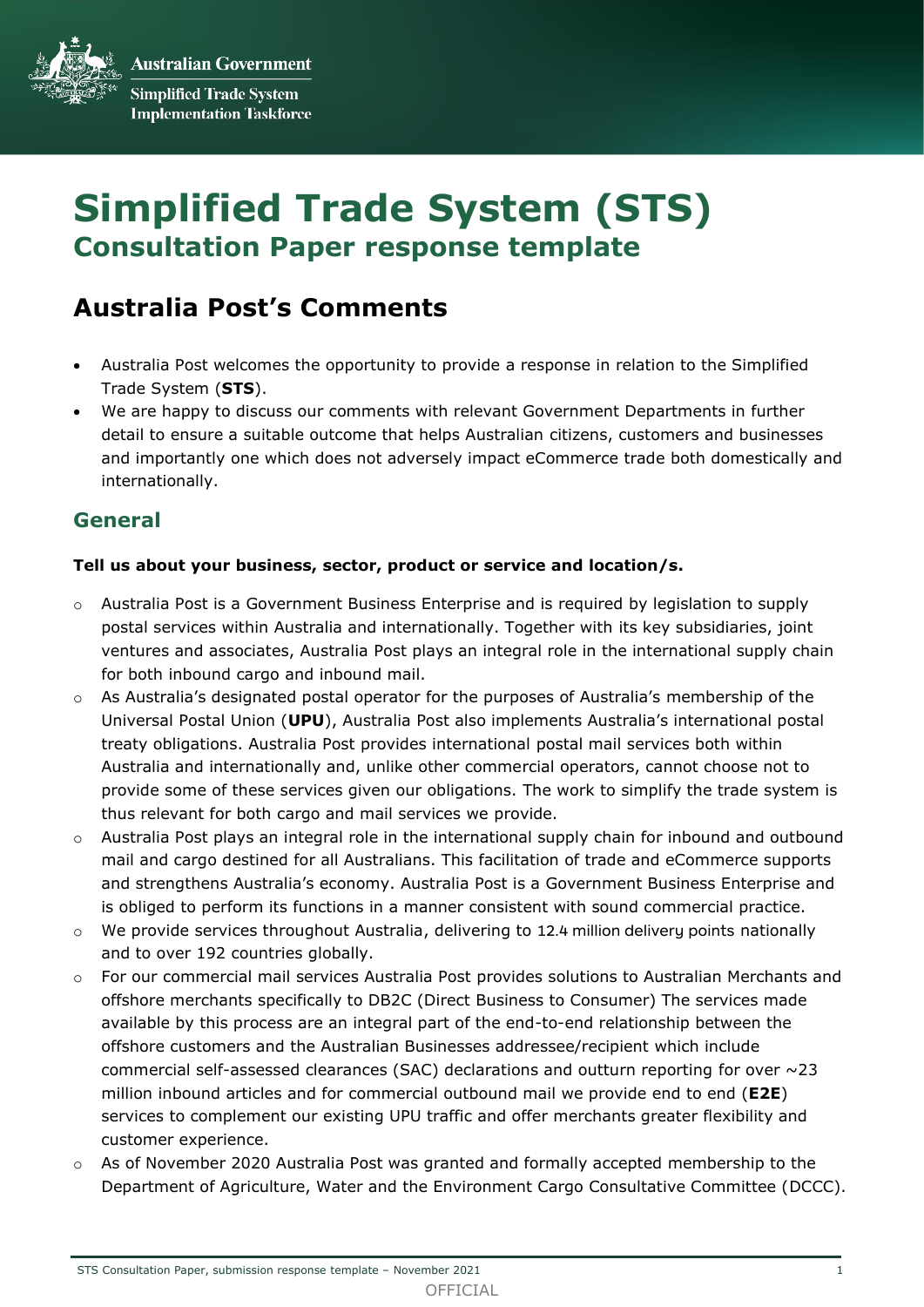**Australian Government Simplified Trade System Implementation Taskforce** 

# **Simplified Trade System (STS) Consultation Paper response template**

# **Australia Post's Comments**

- Australia Post welcomes the opportunity to provide a response in relation to the Simplified Trade System (**STS**).
- We are happy to discuss our comments with relevant Government Departments in further detail to ensure a suitable outcome that helps Australian citizens, customers and businesses and importantly one which does not adversely impact eCommerce trade both domestically and internationally.

# **General**

# **Tell us about your business, sector, product or service and location/s.**

- $\circ$  Australia Post is a Government Business Enterprise and is required by legislation to supply postal services within Australia and internationally. Together with its key subsidiaries, joint ventures and associates, Australia Post plays an integral role in the international supply chain for both inbound cargo and inbound mail.
- $\circ$  As Australia's designated postal operator for the purposes of Australia's membership of the Universal Postal Union (**UPU**), Australia Post also implements Australia's international postal treaty obligations. Australia Post provides international postal mail services both within Australia and internationally and, unlike other commercial operators, cannot choose not to provide some of these services given our obligations. The work to simplify the trade system is thus relevant for both cargo and mail services we provide.
- o Australia Post plays an integral role in the international supply chain for inbound and outbound mail and cargo destined for all Australians. This facilitation of trade and eCommerce supports and strengthens Australia's economy. Australia Post is a Government Business Enterprise and is obliged to perform its functions in a manner consistent with sound commercial practice.
- o We provide services throughout Australia, delivering to 12.4 million delivery points nationally and to over 192 countries globally.
- o For our commercial mail services Australia Post provides solutions to Australian Merchants and offshore merchants specifically to DB2C (Direct Business to Consumer) The services made available by this process are an integral part of the end-to-end relationship between the offshore customers and the Australian Businesses addressee/recipient which include commercial self-assessed clearances (SAC) declarations and outturn reporting for over  $\sim$ 23 million inbound articles and for commercial outbound mail we provide end to end (**E2E**) services to complement our existing UPU traffic and offer merchants greater flexibility and customer experience.
- $\circ$  As of November 2020 Australia Post was granted and formally accepted membership to the Department of Agriculture, Water and the Environment Cargo Consultative Committee (DCCC).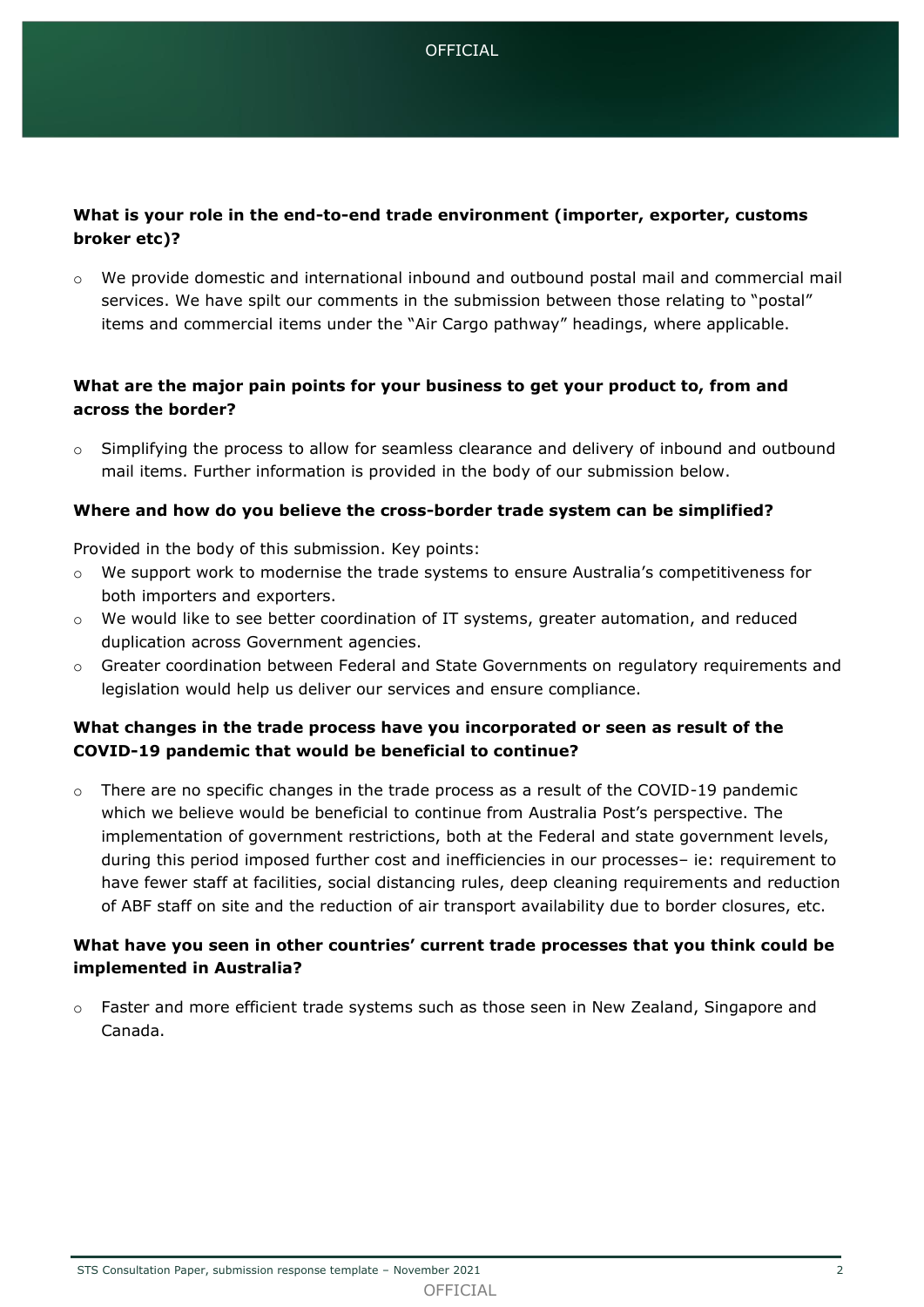

# **What is your role in the end-to-end trade environment (importer, exporter, customs broker etc)?**

 $\circ$  We provide domestic and international inbound and outbound postal mail and commercial mail services. We have spilt our comments in the submission between those relating to "postal" items and commercial items under the "Air Cargo pathway" headings, where applicable.

# **What are the major pain points for your business to get your product to, from and across the border?**

o Simplifying the process to allow for seamless clearance and delivery of inbound and outbound mail items. Further information is provided in the body of our submission below.

#### **Where and how do you believe the cross-border trade system can be simplified?**

Provided in the body of this submission. Key points:

- o We support work to modernise the trade systems to ensure Australia's competitiveness for both importers and exporters.
- o We would like to see better coordination of IT systems, greater automation, and reduced duplication across Government agencies.
- o Greater coordination between Federal and State Governments on regulatory requirements and legislation would help us deliver our services and ensure compliance.

# **What changes in the trade process have you incorporated or seen as result of the COVID-19 pandemic that would be beneficial to continue?**

 $\circ$  There are no specific changes in the trade process as a result of the COVID-19 pandemic which we believe would be beneficial to continue from Australia Post's perspective. The implementation of government restrictions, both at the Federal and state government levels, during this period imposed further cost and inefficiencies in our processes– ie: requirement to have fewer staff at facilities, social distancing rules, deep cleaning requirements and reduction of ABF staff on site and the reduction of air transport availability due to border closures, etc.

# **What have you seen in other countries' current trade processes that you think could be implemented in Australia?**

o Faster and more efficient trade systems such as those seen in New Zealand, Singapore and Canada.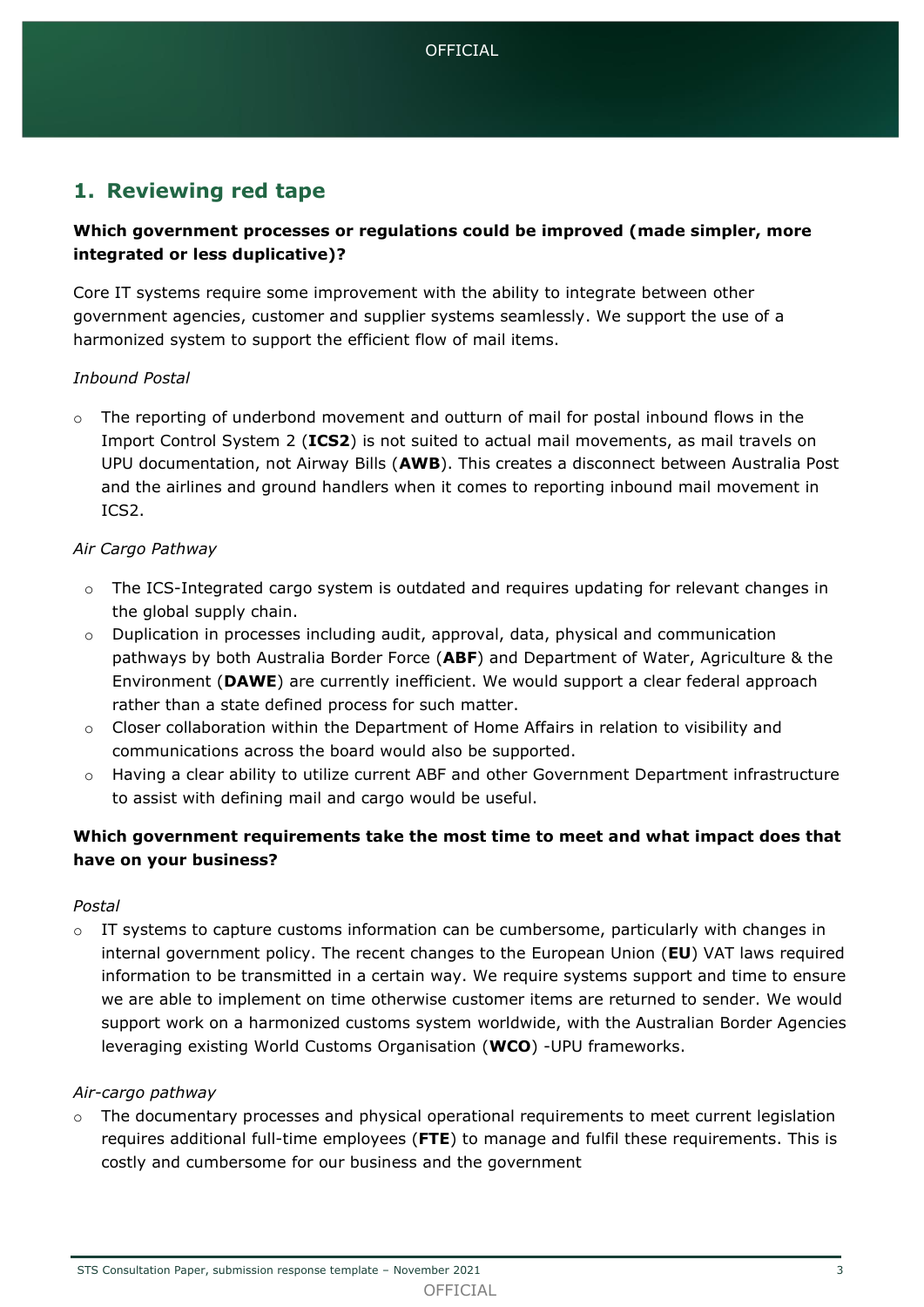# **1. Reviewing red tape**

# **Which government processes or regulations could be improved (made simpler, more integrated or less duplicative)?**

Core IT systems require some improvement with the ability to integrate between other government agencies, customer and supplier systems seamlessly. We support the use of a harmonized system to support the efficient flow of mail items.

# *Inbound Postal*

 $\circ$  The reporting of underbond movement and outturn of mail for postal inbound flows in the Import Control System 2 (**ICS2**) is not suited to actual mail movements, as mail travels on UPU documentation, not Airway Bills (**AWB**). This creates a disconnect between Australia Post and the airlines and ground handlers when it comes to reporting inbound mail movement in ICS2.

# *Air Cargo Pathway*

- $\circ$  The ICS-Integrated cargo system is outdated and requires updating for relevant changes in the global supply chain.
- $\circ$  Duplication in processes including audit, approval, data, physical and communication pathways by both Australia Border Force (**ABF**) and Department of Water, Agriculture & the Environment (**DAWE**) are currently inefficient. We would support a clear federal approach rather than a state defined process for such matter.
- $\circ$  Closer collaboration within the Department of Home Affairs in relation to visibility and communications across the board would also be supported.
- o Having a clear ability to utilize current ABF and other Government Department infrastructure to assist with defining mail and cargo would be useful.

# **Which government requirements take the most time to meet and what impact does that have on your business?**

#### *Postal*

 $\circ$  IT systems to capture customs information can be cumbersome, particularly with changes in internal government policy. The recent changes to the European Union (**EU**) VAT laws required information to be transmitted in a certain way. We require systems support and time to ensure we are able to implement on time otherwise customer items are returned to sender. We would support work on a harmonized customs system worldwide, with the Australian Border Agencies leveraging existing World Customs Organisation (**WCO**) -UPU frameworks.

#### *Air-cargo pathway*

 $\circ$  The documentary processes and physical operational requirements to meet current legislation requires additional full-time employees (**FTE**) to manage and fulfil these requirements. This is costly and cumbersome for our business and the government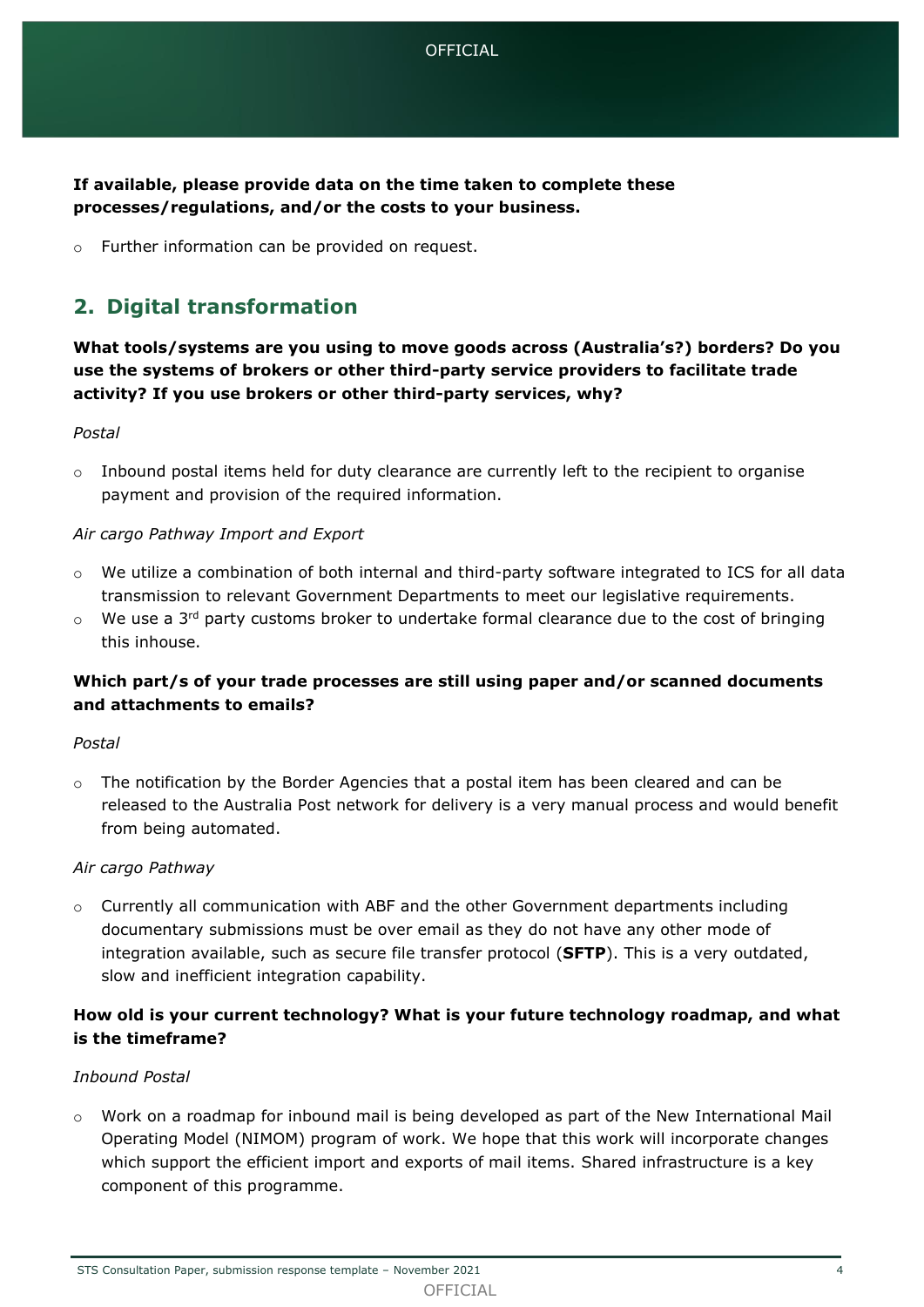**If available, please provide data on the time taken to complete these processes/regulations, and/or the costs to your business.** 

o Further information can be provided on request.

# **2. Digital transformation**

**What tools/systems are you using to move goods across (Australia's?) borders? Do you use the systems of brokers or other third-party service providers to facilitate trade activity? If you use brokers or other third-party services, why?**

#### *Postal*

 $\circ$  Inbound postal items held for duty clearance are currently left to the recipient to organise payment and provision of the required information.

#### *Air cargo Pathway Import and Export*

- $\circ$  We utilize a combination of both internal and third-party software integrated to ICS for all data transmission to relevant Government Departments to meet our legislative requirements.
- $\circ$  We use a 3<sup>rd</sup> party customs broker to undertake formal clearance due to the cost of bringing this inhouse.

# **Which part/s of your trade processes are still using paper and/or scanned documents and attachments to emails?**

#### *Postal*

 $\circ$  The notification by the Border Agencies that a postal item has been cleared and can be released to the Australia Post network for delivery is a very manual process and would benefit from being automated.

#### *Air cargo Pathway*

o Currently all communication with ABF and the other Government departments including documentary submissions must be over email as they do not have any other mode of integration available, such as secure file transfer protocol (**SFTP**). This is a very outdated, slow and inefficient integration capability.

# **How old is your current technology? What is your future technology roadmap, and what is the timeframe?**

#### *Inbound Postal*

 $\circ$  Work on a roadmap for inbound mail is being developed as part of the New International Mail Operating Model (NIMOM) program of work. We hope that this work will incorporate changes which support the efficient import and exports of mail items. Shared infrastructure is a key component of this programme.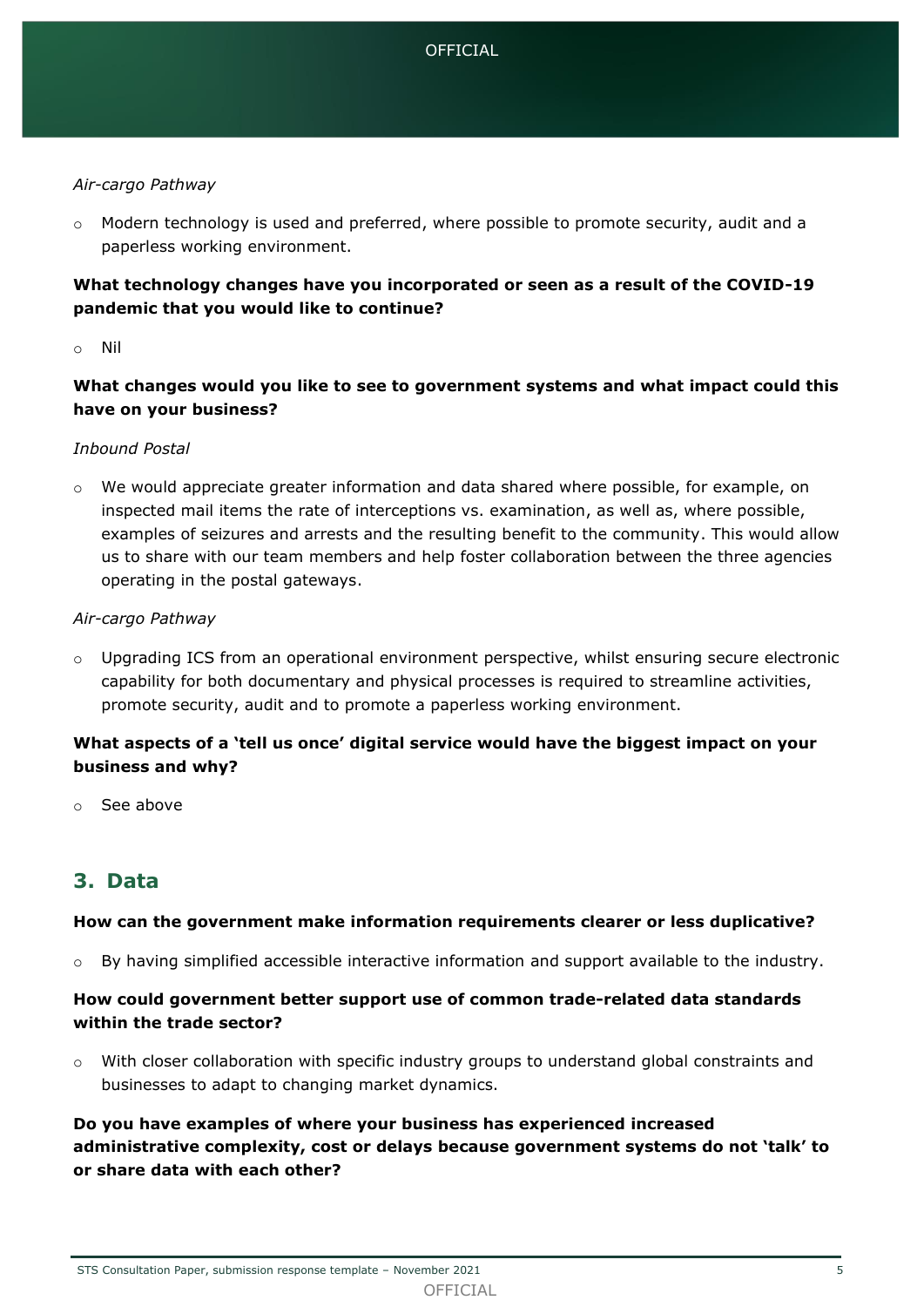#### *Air-cargo Pathway*

 $\circ$  Modern technology is used and preferred, where possible to promote security, audit and a paperless working environment.

# **What technology changes have you incorporated or seen as a result of the COVID-19 pandemic that you would like to continue?**

#### o Nil

# **What changes would you like to see to government systems and what impact could this have on your business?**

#### *Inbound Postal*

 $\circ$  We would appreciate greater information and data shared where possible, for example, on inspected mail items the rate of interceptions vs. examination, as well as, where possible, examples of seizures and arrests and the resulting benefit to the community. This would allow us to share with our team members and help foster collaboration between the three agencies operating in the postal gateways.

#### *Air-cargo Pathway*

 $\circ$  Upgrading ICS from an operational environment perspective, whilst ensuring secure electronic capability for both documentary and physical processes is required to streamline activities, promote security, audit and to promote a paperless working environment.

# **What aspects of a 'tell us once' digital service would have the biggest impact on your business and why?**

o See above

# **3. Data**

#### **How can the government make information requirements clearer or less duplicative?**

 $\circ$  By having simplified accessible interactive information and support available to the industry.

# **How could government better support use of common trade-related data standards within the trade sector?**

 $\circ$  With closer collaboration with specific industry groups to understand global constraints and businesses to adapt to changing market dynamics.

**Do you have examples of where your business has experienced increased administrative complexity, cost or delays because government systems do not 'talk' to or share data with each other?**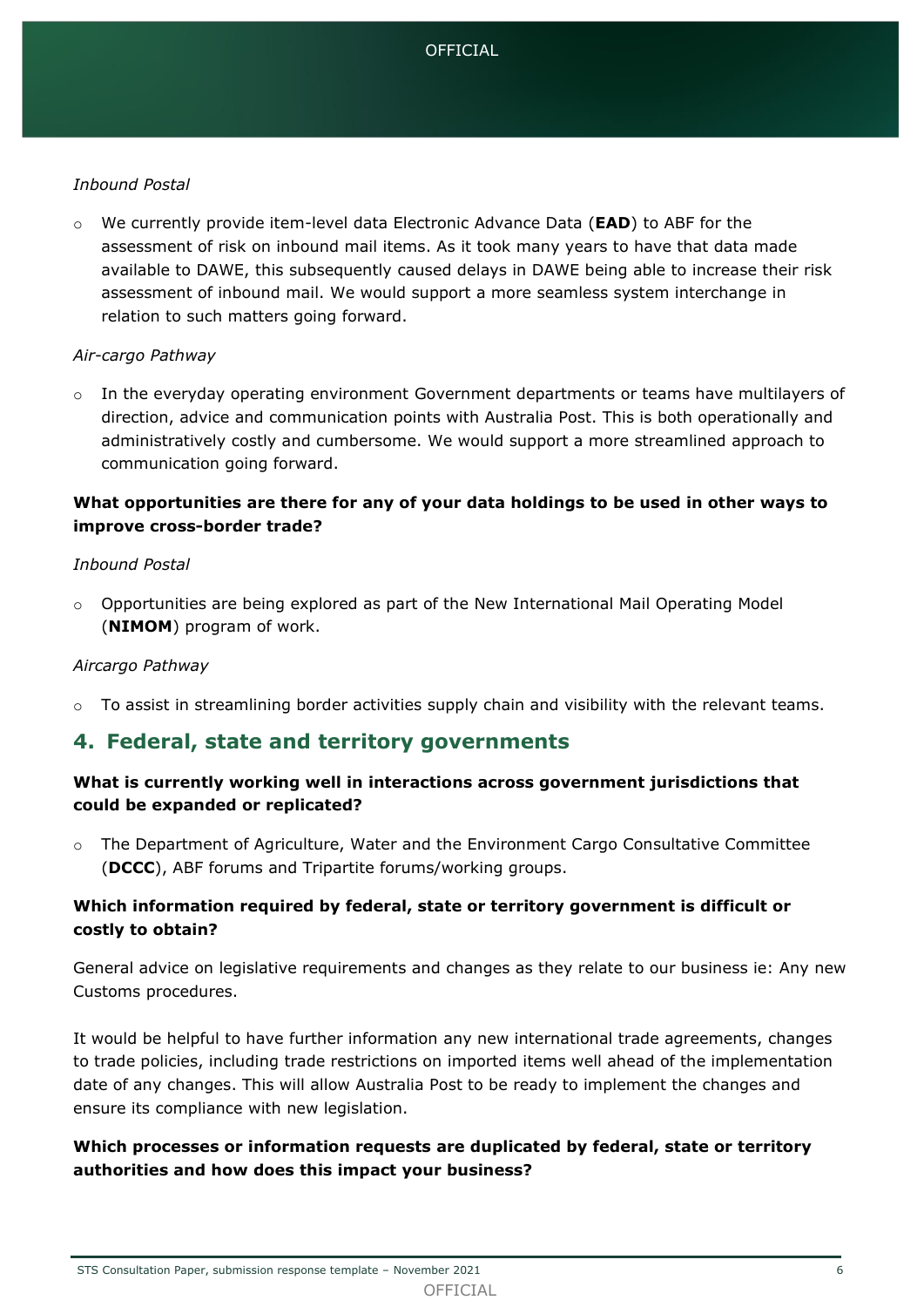#### *Inbound Postal*

o We currently provide item-level data Electronic Advance Data (**EAD**) to ABF for the assessment of risk on inbound mail items. As it took many years to have that data made available to DAWE, this subsequently caused delays in DAWE being able to increase their risk assessment of inbound mail. We would support a more seamless system interchange in relation to such matters going forward.

#### *Air-cargo Pathway*

 $\circ$  In the everyday operating environment Government departments or teams have multilayers of direction, advice and communication points with Australia Post. This is both operationally and administratively costly and cumbersome. We would support a more streamlined approach to communication going forward.

# **What opportunities are there for any of your data holdings to be used in other ways to improve cross-border trade?**

#### *Inbound Postal*

o Opportunities are being explored as part of the New International Mail Operating Model (**NIMOM**) program of work.

#### *Aircargo Pathway*

o To assist in streamlining border activities supply chain and visibility with the relevant teams.

# **4. Federal, state and territory governments**

# **What is currently working well in interactions across government jurisdictions that could be expanded or replicated?**

o The Department of Agriculture, Water and the Environment Cargo Consultative Committee (**DCCC**), ABF forums and Tripartite forums/working groups.

# **Which information required by federal, state or territory government is difficult or costly to obtain?**

General advice on legislative requirements and changes as they relate to our business ie: Any new Customs procedures.

It would be helpful to have further information any new international trade agreements, changes to trade policies, including trade restrictions on imported items well ahead of the implementation date of any changes. This will allow Australia Post to be ready to implement the changes and ensure its compliance with new legislation.

# **Which processes or information requests are duplicated by federal, state or territory authorities and how does this impact your business?**